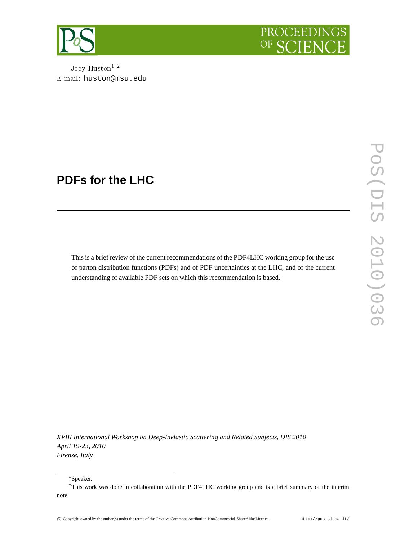



Joey Huston<sup>1</sup><sup>2</sup> E-mail: huston@msu.edu

# **PDFs for the LHC**

This is a brief review of the current recommendations of the PDF4LHC working group for the use of parton distribution functions (PDFs) and of PDF uncertainties at the LHC, and of the current understanding of available PDF sets on which this recommendation is based.

*XVIII International Workshop on Deep-Inelastic Scattering and Related Subjects, DIS 2010 April 19-23, 2010 Firenze, Italy*

<sup>∗</sup>Speaker.

<sup>†</sup>This work was done in collaboration with the PDF4LHC working group and is a brief summary of the interim note.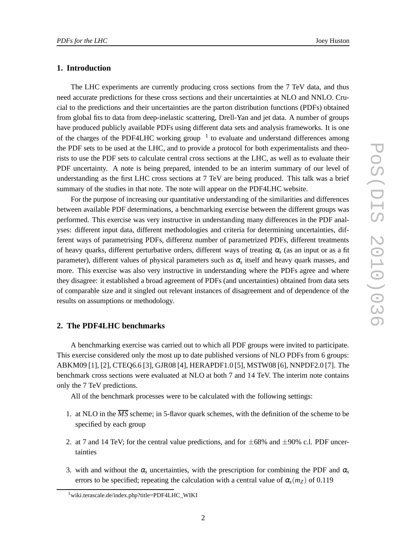## **1. Introduction**

The LHC experiments are currently producing cross sections from the 7 TeV data, and thus need accurate predictions for these cross sections and their uncertainties at NLO and NNLO. Crucial to the predictions and their uncertainties are the parton distribution functions (PDFs) obtained from global fits to data from deep-inelastic scattering, Drell-Yan and jet data. A number of groups have produced publicly available PDFs using different data sets and analysis frameworks. It is one of the charges of the PDF4LHC working group  $1$  to evaluate and understand differences among the PDF sets to be used at the LHC, and to provide a protocol for both experimentalists and theorists to use the PDF sets to calculate central cross sections at the LHC, as well as to evaluate their PDF uncertainty. A note is being prepared, intended to be an interim summary of our level of understanding as the first LHC cross sections at 7 TeV are being produced. This talk was a brief summary of the studies in that note. The note will appear on the PDF4LHC website.

For the purpose of increasing our quantitative understanding of the similarities and differences between available PDF determinations, a benchmarking exercise between the different groups was performed. This exercise was very instructive in understanding many differences in the PDF analyses: different input data, different methodologies and criteria for determining uncertainties, different ways of parametrising PDFs, differenz number of parametrized PDFs, different treatments of heavy quarks, different perturbative orders, different ways of treating  $\alpha_s$  (as an input or as a fit parameter), different values of physical parameters such as <sup>α</sup>*<sup>s</sup>* itself and heavy quark masses, and more. This exercise was also very instructive in understanding where the PDFs agree and where they disagree: it established a broad agreement of PDFs (and uncertainties) obtained from data sets of comparable size and it singled out relevant instances of disagreement and of dependence of the results on assumptions or methodology.

## **2. The PDF4LHC benchmarks**

A benchmarking exercise was carried out to which all PDF groups were invited to participate. This exercise considered only the most up to date published versions of NLO PDFs from 6 groups: ABKM09 [1], [2], CTEQ6.6 [3], GJR08 [4], HERAPDF1.0 [5], MSTW08 [6], NNPDF2.0 [7]. The benchmark cross sections were evaluated at NLO at both 7 and 14 TeV. The interim note contains only the 7 TeV predictions.

All of the benchmark processes were to be calculated with the following settings:

- 1. at NLO in the *MS* scheme; in 5-flavor quark schemes, with the definition of the scheme to be specified by each group
- 2. at 7 and 14 TeV; for the central value predictions, and for  $\pm 68\%$  and  $\pm 90\%$  c.l. PDF uncertainties
- 3. with and without the  $\alpha_s$  uncertainties, with the prescription for combining the PDF and  $\alpha_s$ errors to be specified; repeating the calculation with a central value of  $\alpha_s(m_Z)$  of 0.119

<sup>1</sup>wiki.terascale.de/index.php?title=PDF4LHC\_WIKI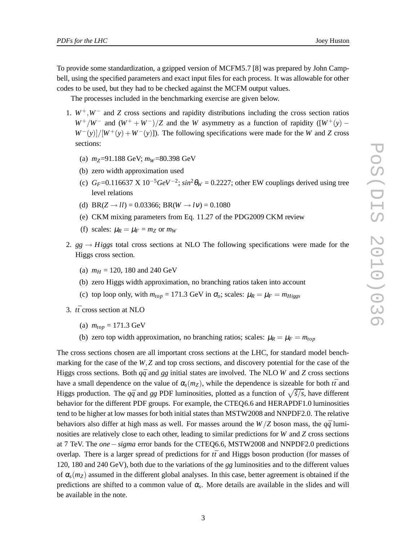To provide some standardization, a gzipped version of MCFM5.7 [8] was prepared by John Campbell, using the specified parameters and exact input files for each process. It was allowable for other codes to be used, but they had to be checked against the MCFM output values.

The processes included in the benchmarking exercise are given below.

- 1. *W*+,*W*<sup>−</sup> and *Z* cross sections and rapidity distributions including the cross section ratios  $W^+/W^-$  and  $(W^++W^-)/Z$  and the *W* asymmetry as a function of rapidity ( $[W^+(y)$  −  $W^{-}(y)/[W^{+}(y) + W^{-}(y)]$ . The following specifications were made for the *W* and *Z* cross sections:
	- (a)  $m_Z = 91.188$  GeV;  $m_W = 80.398$  GeV
	- (b) zero width approximation used
	- (c)  $G_F$ =0.116637 X 10<sup>-5</sup> $GeV^{-2}$ ;  $sin^2\theta_W = 0.2227$ ; other EW couplings derived using tree level relations
	- (d)  $BR(Z \rightarrow ll) = 0.03366$ ;  $BR(W \rightarrow lV) = 0.1080$
	- (e) CKM mixing parameters from Eq. 11.27 of the PDG2009 CKM review
	- (f) scales:  $\mu_R = \mu_F = m_Z$  or  $m_W$
- 2.  $gg \rightarrow Higgs$  total cross sections at NLO The following specifications were made for the Higgs cross section.
	- (a)  $m_H = 120$ , 180 and 240 GeV
	- (b) zero Higgs width approximation, no branching ratios taken into account
	- (c) top loop only, with  $m_{top} = 171.3$  GeV in  $\sigma_o$ ; scales:  $\mu_R = \mu_F = m_{Higgs}$
- 3. *tt*¯ cross section at NLO
	- (a)  $m_{top} = 171.3 \text{ GeV}$
	- (b) zero top width approximation, no branching ratios; scales:  $\mu_R = \mu_F = m_{top}$

The cross sections chosen are all important cross sections at the LHC, for standard model benchmarking for the case of the *W*,*Z* and top cross sections, and discovery potential for the case of the Higgs cross sections. Both  $q\bar{q}$  and *gg* initial states are involved. The NLO *W* and *Z* cross sections have a small dependence on the value of  $\alpha_s(m_z)$ , while the dependence is sizeable for both  $t\bar{t}$  and Higgs production. The  $q\bar{q}$  and *gg* PDF luminosities, plotted as a function of  $\sqrt{\hat{s}/s}$ , have different behavior for the different PDF groups. For example, the CTEQ6.6 and HERAPDF1.0 luminosities tend to be higher at low masses for both initial states than MSTW2008 and NNPDF2.0. The relative behaviors also differ at high mass as well. For masses around the  $W/Z$  boson mass, the  $q\bar{q}$  luminosities are relatively close to each other, leading to similar predictions for *W* and *Z* cross sections at 7 TeV. The *one*−*sigma* error bands for the CTEQ6.6, MSTW2008 and NNPDF2.0 predictions overlap. There is a larger spread of predictions for  $t\bar{t}$  and Higgs boson production (for masses of 120, 180 and 240 GeV), both due to the variations of the *gg* luminosities and to the different values of  $\alpha_s(m_Z)$  assumed in the different global analyses. In this case, better agreement is obtained if the predictions are shifted to a common value of  $\alpha_s$ . More details are available in the slides and will be available in the note.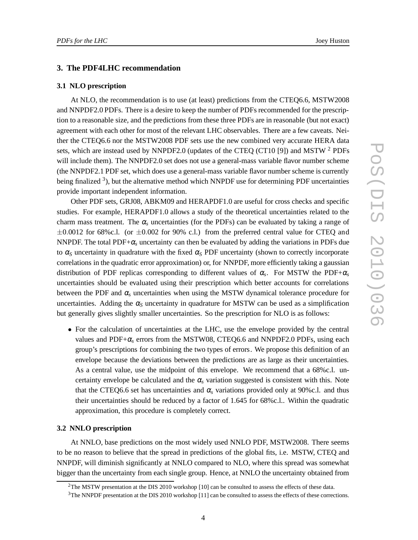## **3. The PDF4LHC recommendation**

#### **3.1 NLO prescription**

At NLO, the recommendation is to use (at least) predictions from the CTEQ6.6, MSTW2008 and NNPDF2.0 PDFs. There is a desire to keep the number of PDFs recommended for the prescription to a reasonable size, and the predictions from these three PDFs are in reasonable (but not exact) agreement with each other for most of the relevant LHC observables. There are a few caveats. Neither the CTEQ6.6 nor the MSTW2008 PDF sets use the new combined very accurate HERA data sets, which are instead used by NNPDF2.0 (updates of the CTEQ (CT10 [9]) and MSTW  $^2$  PDFs will include them). The NNPDF2.0 set does not use a general-mass variable flavor number scheme (the NNPDF2.1 PDF set, which does use a general-mass variable flavor number scheme is currently being finalized  $3$ ), but the alternative method which NNPDF use for determining PDF uncertainties provide important independent information.

Other PDF sets, GRJ08, ABKM09 and HERAPDF1.0 are useful for cross checks and specific studies. For example, HERAPDF1.0 allows a study of the theoretical uncertainties related to the charm mass treatment. The  $\alpha_s$  uncertainties (for the PDFs) can be evaluated by taking a range of  $\pm 0.0012$  for 68% c.l. (or  $\pm 0.002$  for 90% c.l.) from the preferred central value for CTEQ and NNPDF. The total  $PDF+\alpha_s$  uncertainty can then be evaluated by adding the variations in PDFs due to  $\alpha_s$  uncertainty in quadrature with the fixed  $\alpha_s$  PDF uncertainty (shown to correctly incorporate correlations in the quadratic error approximation) or, for NNPDF, more efficiently taking a gaussian distribution of PDF replicas corresponding to different values of <sup>α</sup>*<sup>s</sup>* . For MSTW the PDF+<sup>α</sup>*<sup>s</sup>* uncertainties should be evaluated using their prescription which better accounts for correlations between the PDF and  $\alpha_s$  uncertainties when using the MSTW dynamical tolerance procedure for uncertainties. Adding the  $\alpha_s$  uncertainty in quadrature for MSTW can be used as a simplification but generally gives slightly smaller uncertainties. So the prescription for NLO is as follows:

• For the calculation of uncertainties at the LHC, use the envelope provided by the central values and  $PDF+\alpha_s$  errors from the MSTW08, CTEQ6.6 and NNPDF2.0 PDFs, using each group's prescriptions for combining the two types of errors. We propose this definition of an envelope because the deviations between the predictions are as large as their uncertainties. As a central value, use the midpoint of this envelope. We recommend that a 68%c.l. uncertainty envelope be calculated and the  $\alpha_s$  variation suggested is consistent with this. Note that the CTEQ6.6 set has uncertainties and  $\alpha_s$  variations provided only at 90%c.l. and thus their uncertainties should be reduced by a factor of 1.645 for 68%c.l.. Within the quadratic approximation, this procedure is completely correct.

#### **3.2 NNLO prescription**

At NNLO, base predictions on the most widely used NNLO PDF, MSTW2008. There seems to be no reason to believe that the spread in predictions of the global fits, i.e. MSTW, CTEQ and NNPDF, will diminish significantly at NNLO compared to NLO, where this spread was somewhat bigger than the uncertainty from each single group. Hence, at NNLO the uncertainty obtained from

<sup>&</sup>lt;sup>2</sup>The MSTW presentation at the DIS 2010 workshop [10] can be consulted to assess the effects of these data.

<sup>&</sup>lt;sup>3</sup>The NNPDF presentation at the DIS 2010 workshop [11] can be consulted to assess the effects of these corrections.